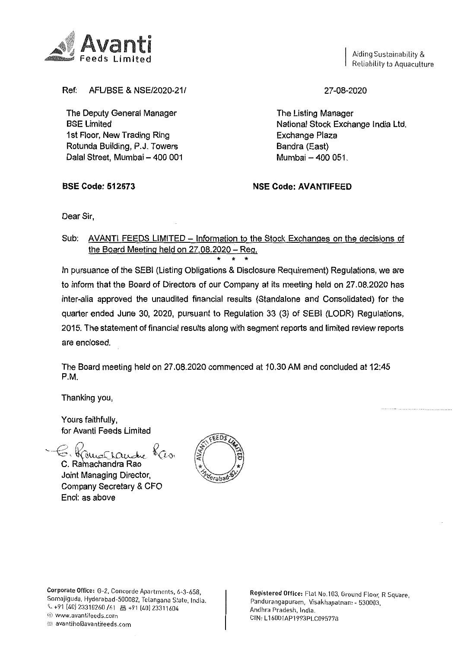Aiding Sustainability & Reliability to Aquaculture



AFL/BSE & NSE/2020-21/ Ref:

The Deputy General Manager **BSE Limited** 1st Floor, New Trading Ring Rotunda Building, P.J. Towers Dalal Street, Mumbai - 400 001 27-08-2020

The Listing Manager National Stock Exchange India Ltd. Exchange Plaza Bandra (East) Mumbai - 400 051.

**BSE Code: 512573** 

**NSE Code: AVANTIFEED** 

Dear Sir.

Sub: AVANTI FEEDS LIMITED - Information to the Stock Exchanges on the decisions of the Board Meeting held on 27,08,2020 - Reg.

In pursuance of the SEBI (Listing Obligations & Disclosure Requirement) Regulations, we are to inform that the Board of Directors of our Company at its meeting held on 27.08.2020 has inter-alia approved the unaudited financial results (Standalone and Consolidated) for the quarter ended June 30, 2020, pursuant to Regulation 33 (3) of SEBI (LODR) Regulations, 2015. The statement of financial results along with segment reports and limited review reports are enclosed.

The Board meeting held on 27.08.2020 commenced at 10.30 AM and concluded at 12:45  $P.M.$ 

Thanking you,

Yours faithfully, for Avanti Feeds Limited

C. Ramachandra Rao Joint Managing Director, Company Secretary & CFO Encl: as above



Corporate Office: G-2, Concorde Apartments, 6-3-658, Somajiguda, Hyderabad-500082, Telangana State, India. ↓ +91 (40) 23310260 /61 图 +91 (40) 23311604 @ www.avantifeeds.com avantiho@avantifeeds.com

Registered Office: Flat No.103, Ground Floor, R Square, Pandurangapuram, Visakhapatnam - 530003, Andhra Pradesh, India. CIN: L16001AP1993PLC095778